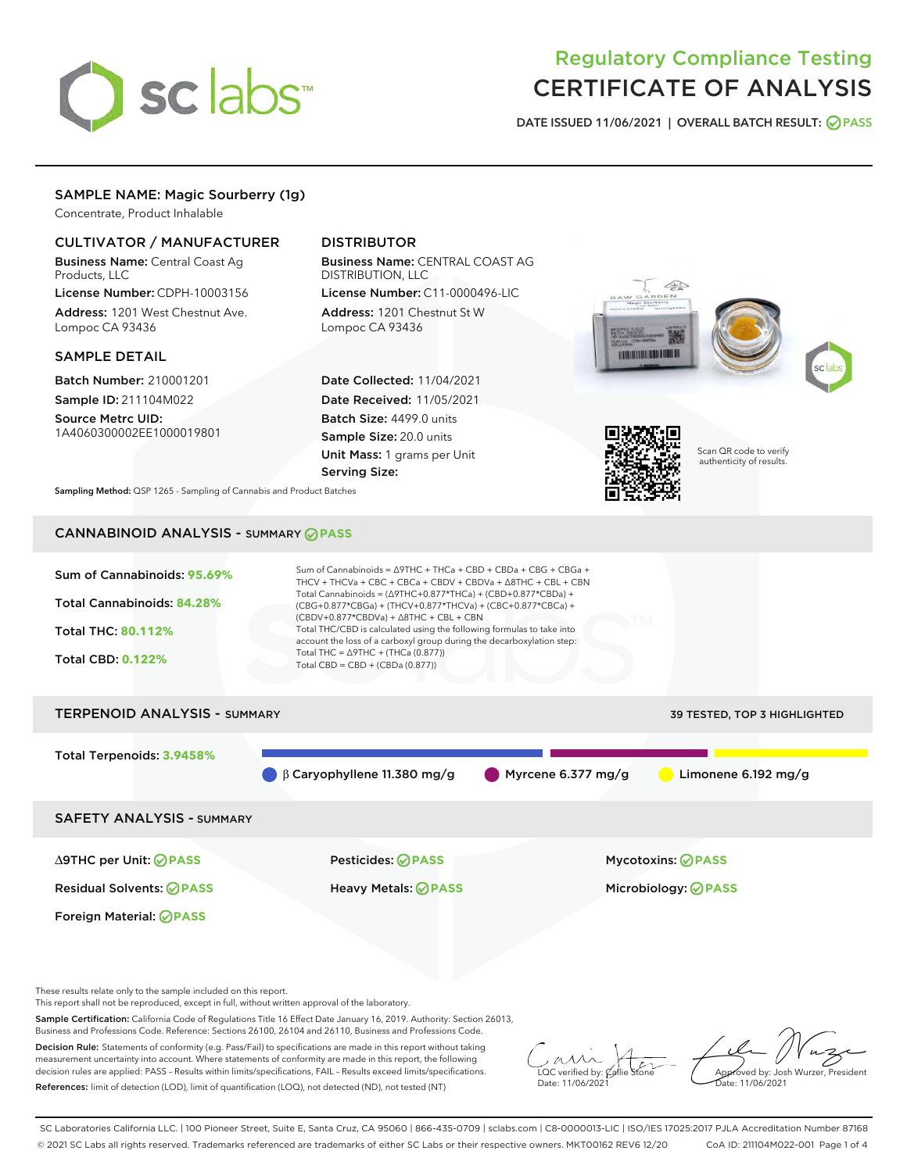

# Regulatory Compliance Testing CERTIFICATE OF ANALYSIS

DATE ISSUED 11/06/2021 | OVERALL BATCH RESULT: @ PASS

# SAMPLE NAME: Magic Sourberry (1g)

Concentrate, Product Inhalable

# CULTIVATOR / MANUFACTURER

Business Name: Central Coast Ag Products, LLC

License Number: CDPH-10003156 Address: 1201 West Chestnut Ave. Lompoc CA 93436

#### SAMPLE DETAIL

Batch Number: 210001201 Sample ID: 211104M022

Source Metrc UID: 1A4060300002EE1000019801

# DISTRIBUTOR

Business Name: CENTRAL COAST AG DISTRIBUTION, LLC License Number: C11-0000496-LIC

Address: 1201 Chestnut St W Lompoc CA 93436

Date Collected: 11/04/2021 Date Received: 11/05/2021 Batch Size: 4499.0 units Sample Size: 20.0 units Unit Mass: 1 grams per Unit Serving Size:







Scan QR code to verify authenticity of results.

Sampling Method: QSP 1265 - Sampling of Cannabis and Product Batches

# CANNABINOID ANALYSIS - SUMMARY **PASS**



These results relate only to the sample included on this report.

This report shall not be reproduced, except in full, without written approval of the laboratory.

Sample Certification: California Code of Regulations Title 16 Effect Date January 16, 2019. Authority: Section 26013, Business and Professions Code. Reference: Sections 26100, 26104 and 26110, Business and Professions Code.

Decision Rule: Statements of conformity (e.g. Pass/Fail) to specifications are made in this report without taking measurement uncertainty into account. Where statements of conformity are made in this report, the following decision rules are applied: PASS – Results within limits/specifications, FAIL – Results exceed limits/specifications. References: limit of detection (LOD), limit of quantification (LOQ), not detected (ND), not tested (NT)

 $\overline{\text{C}}$  verified by:  $\mathcal C$ Date: 11/06/202<sup>1</sup>

Aved by: Josh Wurzer, President ate: 11/06/2021

SC Laboratories California LLC. | 100 Pioneer Street, Suite E, Santa Cruz, CA 95060 | 866-435-0709 | sclabs.com | C8-0000013-LIC | ISO/IES 17025:2017 PJLA Accreditation Number 87168 © 2021 SC Labs all rights reserved. Trademarks referenced are trademarks of either SC Labs or their respective owners. MKT00162 REV6 12/20 CoA ID: 211104M022-001 Page 1 of 4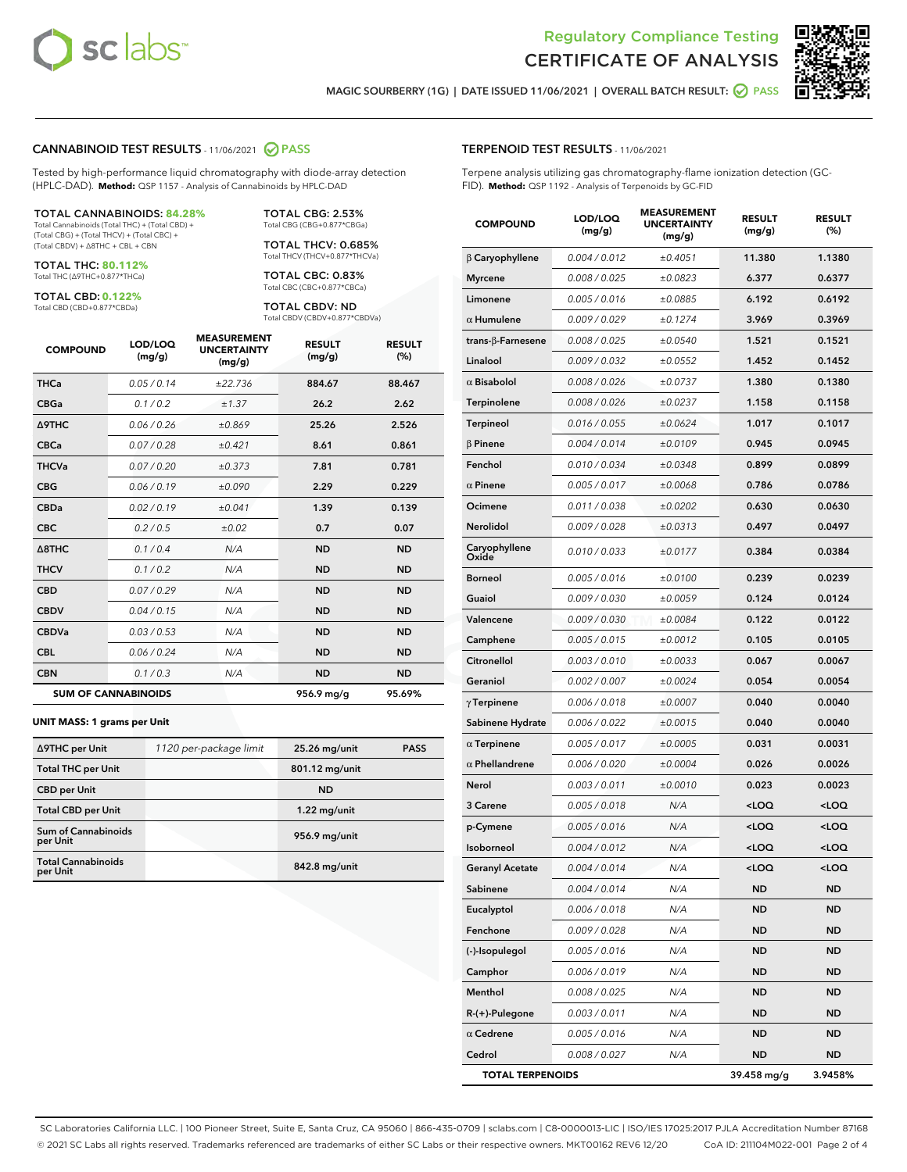



MAGIC SOURBERRY (1G) | DATE ISSUED 11/06/2021 | OVERALL BATCH RESULT: @ PASS

#### CANNABINOID TEST RESULTS - 11/06/2021 2 PASS

Tested by high-performance liquid chromatography with diode-array detection (HPLC-DAD). **Method:** QSP 1157 - Analysis of Cannabinoids by HPLC-DAD

#### TOTAL CANNABINOIDS: **84.28%**

Total Cannabinoids (Total THC) + (Total CBD) + (Total CBG) + (Total THCV) + (Total CBC) + (Total CBDV) + ∆8THC + CBL + CBN

TOTAL THC: **80.112%** Total THC (∆9THC+0.877\*THCa)

TOTAL CBD: **0.122%**

Total CBD (CBD+0.877\*CBDa)

TOTAL CBG: 2.53% Total CBG (CBG+0.877\*CBGa)

TOTAL THCV: 0.685% Total THCV (THCV+0.877\*THCVa)

TOTAL CBC: 0.83% Total CBC (CBC+0.877\*CBCa)

TOTAL CBDV: ND Total CBDV (CBDV+0.877\*CBDVa)

| <b>COMPOUND</b>            | LOD/LOQ<br>(mg/g) | <b>MEASUREMENT</b><br><b>UNCERTAINTY</b><br>(mg/g) | <b>RESULT</b><br>(mg/g) | <b>RESULT</b><br>(%) |
|----------------------------|-------------------|----------------------------------------------------|-------------------------|----------------------|
| <b>THCa</b>                | 0.05/0.14         | ±22.736                                            | 884.67                  | 88.467               |
| <b>CBGa</b>                | 0.1/0.2           | ±1.37                                              | 26.2                    | 2.62                 |
| <b>A9THC</b>               | 0.06 / 0.26       | ±0.869                                             | 25.26                   | 2.526                |
| <b>CBCa</b>                | 0.07 / 0.28       | ±0.421                                             | 8.61                    | 0.861                |
| <b>THCVa</b>               | 0.07/0.20         | ±0.373                                             | 7.81                    | 0.781                |
| <b>CBG</b>                 | 0.06/0.19         | ±0.090                                             | 2.29                    | 0.229                |
| <b>CBDa</b>                | 0.02/0.19         | ±0.041                                             | 1.39                    | 0.139                |
| <b>CBC</b>                 | 0.2 / 0.5         | ±0.02                                              | 0.7                     | 0.07                 |
| A8THC                      | 0.1 / 0.4         | N/A                                                | <b>ND</b>               | <b>ND</b>            |
| <b>THCV</b>                | 0.1 / 0.2         | N/A                                                | <b>ND</b>               | <b>ND</b>            |
| <b>CBD</b>                 | 0.07/0.29         | N/A                                                | <b>ND</b>               | <b>ND</b>            |
| <b>CBDV</b>                | 0.04 / 0.15       | N/A                                                | <b>ND</b>               | <b>ND</b>            |
| <b>CBDVa</b>               | 0.03 / 0.53       | N/A                                                | <b>ND</b>               | <b>ND</b>            |
| <b>CBL</b>                 | 0.06 / 0.24       | N/A                                                | <b>ND</b>               | <b>ND</b>            |
| <b>CBN</b>                 | 0.1/0.3           | N/A                                                | <b>ND</b>               | <b>ND</b>            |
| <b>SUM OF CANNABINOIDS</b> |                   |                                                    | 956.9 mg/g              | 95.69%               |

#### **UNIT MASS: 1 grams per Unit**

| ∆9THC per Unit                        | 1120 per-package limit | 25.26 mg/unit  | <b>PASS</b> |
|---------------------------------------|------------------------|----------------|-------------|
| <b>Total THC per Unit</b>             |                        | 801.12 mg/unit |             |
| <b>CBD per Unit</b>                   |                        | <b>ND</b>      |             |
| <b>Total CBD per Unit</b>             |                        | $1.22$ mg/unit |             |
| Sum of Cannabinoids<br>per Unit       |                        | 956.9 mg/unit  |             |
| <b>Total Cannabinoids</b><br>per Unit |                        | 842.8 mg/unit  |             |

#### TERPENOID TEST RESULTS - 11/06/2021

Terpene analysis utilizing gas chromatography-flame ionization detection (GC-FID). **Method:** QSP 1192 - Analysis of Terpenoids by GC-FID

| <b>COMPOUND</b>           | LOD/LOQ<br>(mg/g) | <b>MEASUREMENT</b><br><b>UNCERTAINTY</b><br>(mg/g) | <b>RESULT</b><br>(mg/g)                          | <b>RESULT</b><br>(%) |
|---------------------------|-------------------|----------------------------------------------------|--------------------------------------------------|----------------------|
| $\beta$ Caryophyllene     | 0.004 / 0.012     | ±0.4051                                            | 11.380                                           | 1.1380               |
| <b>Myrcene</b>            | 0.008 / 0.025     | ±0.0823                                            | 6.377                                            | 0.6377               |
| Limonene                  | 0.005 / 0.016     | ±0.0885                                            | 6.192                                            | 0.6192               |
| $\alpha$ Humulene         | 0.009 / 0.029     | ±0.1274                                            | 3.969                                            | 0.3969               |
| trans- $\beta$ -Farnesene | 0.008 / 0.025     | ±0.0540                                            | 1.521                                            | 0.1521               |
| Linalool                  | 0.009 / 0.032     | ±0.0552                                            | 1.452                                            | 0.1452               |
| $\alpha$ Bisabolol        | 0.008 / 0.026     | ±0.0737                                            | 1.380                                            | 0.1380               |
| Terpinolene               | 0.008 / 0.026     | ±0.0237                                            | 1.158                                            | 0.1158               |
| Terpineol                 | 0.016 / 0.055     | ±0.0624                                            | 1.017                                            | 0.1017               |
| $\beta$ Pinene            | 0.004 / 0.014     | ±0.0109                                            | 0.945                                            | 0.0945               |
| Fenchol                   | 0.010 / 0.034     | ±0.0348                                            | 0.899                                            | 0.0899               |
| $\alpha$ Pinene           | 0.005 / 0.017     | ±0.0068                                            | 0.786                                            | 0.0786               |
| Ocimene                   | 0.011 / 0.038     | ±0.0202                                            | 0.630                                            | 0.0630               |
| Nerolidol                 | 0.009 / 0.028     | ±0.0313                                            | 0.497                                            | 0.0497               |
| Caryophyllene<br>Oxide    | 0.010 / 0.033     | ±0.0177                                            | 0.384                                            | 0.0384               |
| <b>Borneol</b>            | 0.005 / 0.016     | ±0.0100                                            | 0.239                                            | 0.0239               |
| Guaiol                    | 0.009 / 0.030     | ±0.0059                                            | 0.124                                            | 0.0124               |
| Valencene                 | 0.009 / 0.030     | ±0.0084                                            | 0.122                                            | 0.0122               |
| Camphene                  | 0.005 / 0.015     | ±0.0012                                            | 0.105                                            | 0.0105               |
| Citronellol               | 0.003 / 0.010     | ±0.0033                                            | 0.067                                            | 0.0067               |
| Geraniol                  | 0.002 / 0.007     | ±0.0024                                            | 0.054                                            | 0.0054               |
| $\gamma$ Terpinene        | 0.006 / 0.018     | ±0.0007                                            | 0.040                                            | 0.0040               |
| Sabinene Hydrate          | 0.006 / 0.022     | ±0.0015                                            | 0.040                                            | 0.0040               |
| $\alpha$ Terpinene        | 0.005 / 0.017     | ±0.0005                                            | 0.031                                            | 0.0031               |
| $\alpha$ Phellandrene     | 0.006 / 0.020     | ±0.0004                                            | 0.026                                            | 0.0026               |
| Nerol                     | 0.003 / 0.011     | ±0.0010                                            | 0.023                                            | 0.0023               |
| 3 Carene                  | 0.005 / 0.018     | N/A                                                | $<$ LOQ                                          | $<$ LOQ              |
| p-Cymene                  | 0.005 / 0.016     | N/A                                                | <loq< th=""><th><loq< th=""></loq<></th></loq<>  | <loq< th=""></loq<>  |
| Isoborneol                | 0.004 / 0.012     | N/A                                                | <loq< th=""><th><loq< th=""></loq<></th></loq<>  | <loq< th=""></loq<>  |
| Geranyl Acetate           | 0.004 / 0.014     | N/A                                                | <loq< th=""><th><math>&lt;</math>LOQ</th></loq<> | $<$ LOQ              |
| Sabinene                  | 0.004 / 0.014     | N/A                                                | ND                                               | ND                   |
| Eucalyptol                | 0.006 / 0.018     | N/A                                                | ND                                               | ND                   |
| Fenchone                  | 0.009 / 0.028     | N/A                                                | <b>ND</b>                                        | ND                   |
| (-)-Isopulegol            | 0.005 / 0.016     | N/A                                                | <b>ND</b>                                        | ND                   |
| Camphor                   | 0.006 / 0.019     | N/A                                                | ND                                               | ND                   |
| Menthol                   | 0.008 / 0.025     | N/A                                                | ND                                               | ND                   |
| R-(+)-Pulegone            | 0.003 / 0.011     | N/A                                                | <b>ND</b>                                        | ND                   |
| $\alpha$ Cedrene          | 0.005 / 0.016     | N/A                                                | ND                                               | ND                   |
| Cedrol                    | 0.008 / 0.027     | N/A                                                | <b>ND</b>                                        | ND                   |
| <b>TOTAL TERPENOIDS</b>   |                   |                                                    | 39.458 mg/g                                      | 3.9458%              |

SC Laboratories California LLC. | 100 Pioneer Street, Suite E, Santa Cruz, CA 95060 | 866-435-0709 | sclabs.com | C8-0000013-LIC | ISO/IES 17025:2017 PJLA Accreditation Number 87168 © 2021 SC Labs all rights reserved. Trademarks referenced are trademarks of either SC Labs or their respective owners. MKT00162 REV6 12/20 CoA ID: 211104M022-001 Page 2 of 4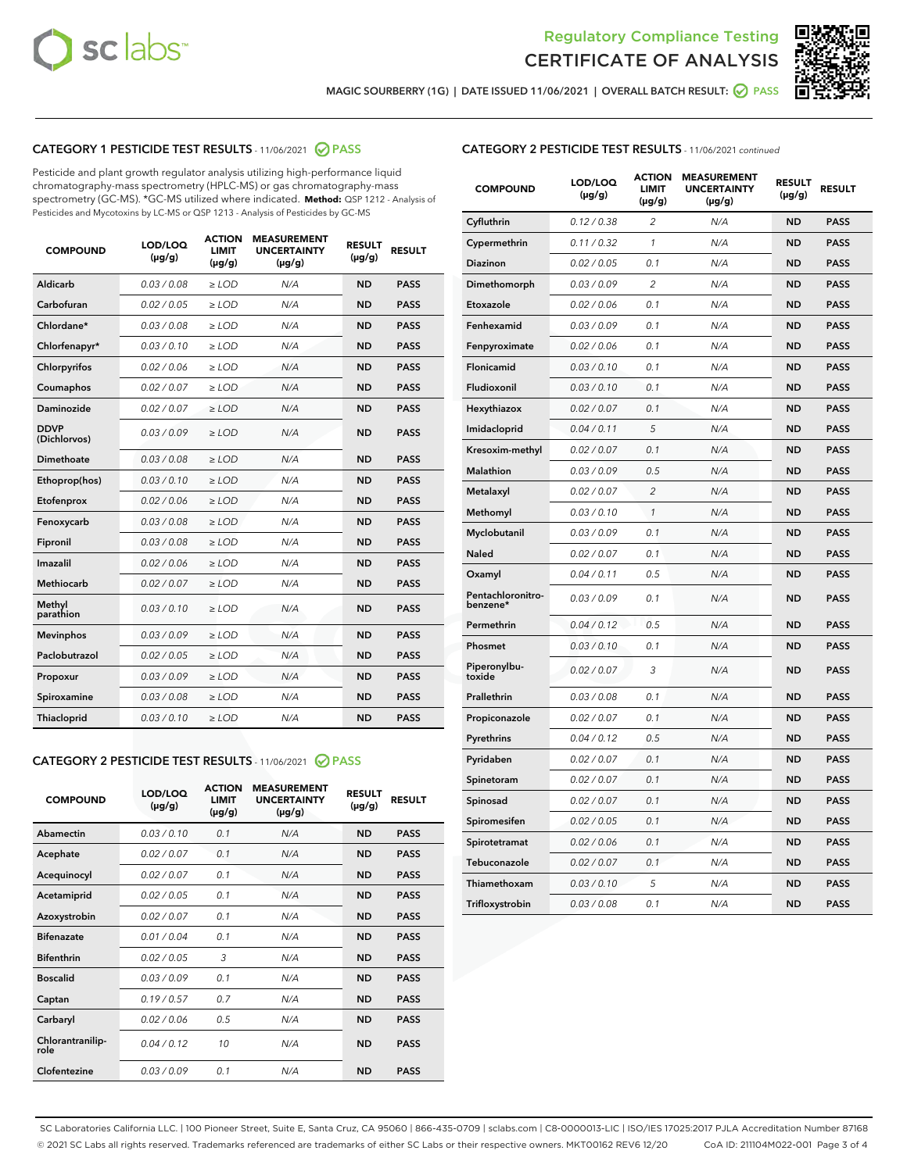



MAGIC SOURBERRY (1G) | DATE ISSUED 11/06/2021 | OVERALL BATCH RESULT:  $\bigcirc$  PASS

# CATEGORY 1 PESTICIDE TEST RESULTS - 11/06/2021 2 PASS

Pesticide and plant growth regulator analysis utilizing high-performance liquid chromatography-mass spectrometry (HPLC-MS) or gas chromatography-mass spectrometry (GC-MS). \*GC-MS utilized where indicated. **Method:** QSP 1212 - Analysis of Pesticides and Mycotoxins by LC-MS or QSP 1213 - Analysis of Pesticides by GC-MS

| <b>Aldicarb</b><br>0.03 / 0.08<br><b>ND</b><br>$\ge$ LOD<br>N/A<br><b>PASS</b><br>Carbofuran<br>0.02/0.05<br>$\ge$ LOD<br>N/A<br><b>ND</b><br><b>PASS</b><br>Chlordane*<br>0.03 / 0.08<br><b>ND</b><br>$>$ LOD<br>N/A<br><b>PASS</b><br>0.03/0.10<br><b>ND</b><br><b>PASS</b><br>Chlorfenapyr*<br>$\ge$ LOD<br>N/A<br>0.02 / 0.06<br>N/A<br><b>ND</b><br><b>PASS</b><br>Chlorpyrifos<br>$\ge$ LOD<br>0.02 / 0.07<br>N/A<br><b>ND</b><br><b>PASS</b><br>Coumaphos<br>$>$ LOD<br>Daminozide<br>0.02 / 0.07<br>$\ge$ LOD<br>N/A<br><b>ND</b><br><b>PASS</b><br><b>DDVP</b><br>0.03/0.09<br>$\ge$ LOD<br>N/A<br><b>ND</b><br><b>PASS</b><br>(Dichlorvos)<br>Dimethoate<br><b>ND</b><br><b>PASS</b><br>0.03 / 0.08<br>$>$ LOD<br>N/A<br>Ethoprop(hos)<br>0.03/0.10<br>$\ge$ LOD<br>N/A<br><b>ND</b><br><b>PASS</b><br>0.02/0.06<br>$\ge$ LOD<br>N/A<br><b>ND</b><br><b>PASS</b><br>Etofenprox<br>Fenoxycarb<br>0.03 / 0.08<br>$>$ LOD<br>N/A<br><b>ND</b><br><b>PASS</b><br>0.03 / 0.08<br><b>ND</b><br><b>PASS</b><br>Fipronil<br>$\ge$ LOD<br>N/A<br>Imazalil<br>0.02 / 0.06<br>$>$ LOD<br>N/A<br><b>ND</b><br><b>PASS</b><br>0.02 / 0.07<br>Methiocarb<br>N/A<br><b>ND</b><br>$>$ LOD<br><b>PASS</b><br>Methyl<br>0.03/0.10<br>$\ge$ LOD<br>N/A<br><b>ND</b><br><b>PASS</b><br>parathion<br>0.03/0.09<br>$\ge$ LOD<br>N/A<br><b>ND</b><br><b>PASS</b><br><b>Mevinphos</b><br>Paclobutrazol<br>0.02 / 0.05<br>$\ge$ LOD<br>N/A<br><b>ND</b><br><b>PASS</b><br>0.03/0.09<br>N/A<br>$\ge$ LOD<br><b>ND</b><br><b>PASS</b><br>Propoxur<br>0.03 / 0.08<br><b>ND</b><br><b>PASS</b><br>Spiroxamine<br>$\ge$ LOD<br>N/A<br><b>PASS</b><br>Thiacloprid<br>0.03/0.10<br>$\ge$ LOD<br>N/A<br><b>ND</b> | <b>COMPOUND</b> | LOD/LOQ<br>$(\mu g/g)$ | <b>ACTION</b><br>LIMIT<br>$(\mu g/g)$ | <b>MEASUREMENT</b><br><b>UNCERTAINTY</b><br>$(\mu g/g)$ | <b>RESULT</b><br>$(\mu g/g)$ | <b>RESULT</b> |
|--------------------------------------------------------------------------------------------------------------------------------------------------------------------------------------------------------------------------------------------------------------------------------------------------------------------------------------------------------------------------------------------------------------------------------------------------------------------------------------------------------------------------------------------------------------------------------------------------------------------------------------------------------------------------------------------------------------------------------------------------------------------------------------------------------------------------------------------------------------------------------------------------------------------------------------------------------------------------------------------------------------------------------------------------------------------------------------------------------------------------------------------------------------------------------------------------------------------------------------------------------------------------------------------------------------------------------------------------------------------------------------------------------------------------------------------------------------------------------------------------------------------------------------------------------------------------------------------------------------------------------------------------------------------------------------------|-----------------|------------------------|---------------------------------------|---------------------------------------------------------|------------------------------|---------------|
|                                                                                                                                                                                                                                                                                                                                                                                                                                                                                                                                                                                                                                                                                                                                                                                                                                                                                                                                                                                                                                                                                                                                                                                                                                                                                                                                                                                                                                                                                                                                                                                                                                                                                            |                 |                        |                                       |                                                         |                              |               |
|                                                                                                                                                                                                                                                                                                                                                                                                                                                                                                                                                                                                                                                                                                                                                                                                                                                                                                                                                                                                                                                                                                                                                                                                                                                                                                                                                                                                                                                                                                                                                                                                                                                                                            |                 |                        |                                       |                                                         |                              |               |
|                                                                                                                                                                                                                                                                                                                                                                                                                                                                                                                                                                                                                                                                                                                                                                                                                                                                                                                                                                                                                                                                                                                                                                                                                                                                                                                                                                                                                                                                                                                                                                                                                                                                                            |                 |                        |                                       |                                                         |                              |               |
|                                                                                                                                                                                                                                                                                                                                                                                                                                                                                                                                                                                                                                                                                                                                                                                                                                                                                                                                                                                                                                                                                                                                                                                                                                                                                                                                                                                                                                                                                                                                                                                                                                                                                            |                 |                        |                                       |                                                         |                              |               |
|                                                                                                                                                                                                                                                                                                                                                                                                                                                                                                                                                                                                                                                                                                                                                                                                                                                                                                                                                                                                                                                                                                                                                                                                                                                                                                                                                                                                                                                                                                                                                                                                                                                                                            |                 |                        |                                       |                                                         |                              |               |
|                                                                                                                                                                                                                                                                                                                                                                                                                                                                                                                                                                                                                                                                                                                                                                                                                                                                                                                                                                                                                                                                                                                                                                                                                                                                                                                                                                                                                                                                                                                                                                                                                                                                                            |                 |                        |                                       |                                                         |                              |               |
|                                                                                                                                                                                                                                                                                                                                                                                                                                                                                                                                                                                                                                                                                                                                                                                                                                                                                                                                                                                                                                                                                                                                                                                                                                                                                                                                                                                                                                                                                                                                                                                                                                                                                            |                 |                        |                                       |                                                         |                              |               |
|                                                                                                                                                                                                                                                                                                                                                                                                                                                                                                                                                                                                                                                                                                                                                                                                                                                                                                                                                                                                                                                                                                                                                                                                                                                                                                                                                                                                                                                                                                                                                                                                                                                                                            |                 |                        |                                       |                                                         |                              |               |
|                                                                                                                                                                                                                                                                                                                                                                                                                                                                                                                                                                                                                                                                                                                                                                                                                                                                                                                                                                                                                                                                                                                                                                                                                                                                                                                                                                                                                                                                                                                                                                                                                                                                                            |                 |                        |                                       |                                                         |                              |               |
|                                                                                                                                                                                                                                                                                                                                                                                                                                                                                                                                                                                                                                                                                                                                                                                                                                                                                                                                                                                                                                                                                                                                                                                                                                                                                                                                                                                                                                                                                                                                                                                                                                                                                            |                 |                        |                                       |                                                         |                              |               |
|                                                                                                                                                                                                                                                                                                                                                                                                                                                                                                                                                                                                                                                                                                                                                                                                                                                                                                                                                                                                                                                                                                                                                                                                                                                                                                                                                                                                                                                                                                                                                                                                                                                                                            |                 |                        |                                       |                                                         |                              |               |
|                                                                                                                                                                                                                                                                                                                                                                                                                                                                                                                                                                                                                                                                                                                                                                                                                                                                                                                                                                                                                                                                                                                                                                                                                                                                                                                                                                                                                                                                                                                                                                                                                                                                                            |                 |                        |                                       |                                                         |                              |               |
|                                                                                                                                                                                                                                                                                                                                                                                                                                                                                                                                                                                                                                                                                                                                                                                                                                                                                                                                                                                                                                                                                                                                                                                                                                                                                                                                                                                                                                                                                                                                                                                                                                                                                            |                 |                        |                                       |                                                         |                              |               |
|                                                                                                                                                                                                                                                                                                                                                                                                                                                                                                                                                                                                                                                                                                                                                                                                                                                                                                                                                                                                                                                                                                                                                                                                                                                                                                                                                                                                                                                                                                                                                                                                                                                                                            |                 |                        |                                       |                                                         |                              |               |
|                                                                                                                                                                                                                                                                                                                                                                                                                                                                                                                                                                                                                                                                                                                                                                                                                                                                                                                                                                                                                                                                                                                                                                                                                                                                                                                                                                                                                                                                                                                                                                                                                                                                                            |                 |                        |                                       |                                                         |                              |               |
|                                                                                                                                                                                                                                                                                                                                                                                                                                                                                                                                                                                                                                                                                                                                                                                                                                                                                                                                                                                                                                                                                                                                                                                                                                                                                                                                                                                                                                                                                                                                                                                                                                                                                            |                 |                        |                                       |                                                         |                              |               |
|                                                                                                                                                                                                                                                                                                                                                                                                                                                                                                                                                                                                                                                                                                                                                                                                                                                                                                                                                                                                                                                                                                                                                                                                                                                                                                                                                                                                                                                                                                                                                                                                                                                                                            |                 |                        |                                       |                                                         |                              |               |
|                                                                                                                                                                                                                                                                                                                                                                                                                                                                                                                                                                                                                                                                                                                                                                                                                                                                                                                                                                                                                                                                                                                                                                                                                                                                                                                                                                                                                                                                                                                                                                                                                                                                                            |                 |                        |                                       |                                                         |                              |               |
|                                                                                                                                                                                                                                                                                                                                                                                                                                                                                                                                                                                                                                                                                                                                                                                                                                                                                                                                                                                                                                                                                                                                                                                                                                                                                                                                                                                                                                                                                                                                                                                                                                                                                            |                 |                        |                                       |                                                         |                              |               |
|                                                                                                                                                                                                                                                                                                                                                                                                                                                                                                                                                                                                                                                                                                                                                                                                                                                                                                                                                                                                                                                                                                                                                                                                                                                                                                                                                                                                                                                                                                                                                                                                                                                                                            |                 |                        |                                       |                                                         |                              |               |
|                                                                                                                                                                                                                                                                                                                                                                                                                                                                                                                                                                                                                                                                                                                                                                                                                                                                                                                                                                                                                                                                                                                                                                                                                                                                                                                                                                                                                                                                                                                                                                                                                                                                                            |                 |                        |                                       |                                                         |                              |               |

#### CATEGORY 2 PESTICIDE TEST RESULTS - 11/06/2021 @ PASS

| <b>COMPOUND</b>          | LOD/LOO<br>$(\mu g/g)$ | <b>ACTION</b><br>LIMIT<br>$(\mu g/g)$ | <b>MEASUREMENT</b><br><b>UNCERTAINTY</b><br>$(\mu g/g)$ | <b>RESULT</b><br>$(\mu g/g)$ | <b>RESULT</b> |  |
|--------------------------|------------------------|---------------------------------------|---------------------------------------------------------|------------------------------|---------------|--|
| Abamectin                | 0.03/0.10              | 0.1                                   | N/A                                                     | <b>ND</b>                    | <b>PASS</b>   |  |
| Acephate                 | 0.02/0.07              | 0.1                                   | N/A                                                     | <b>ND</b>                    | <b>PASS</b>   |  |
| Acequinocyl              | 0.02/0.07              | 0.1                                   | N/A                                                     | <b>ND</b>                    | <b>PASS</b>   |  |
| Acetamiprid              | 0.02 / 0.05            | 0.1                                   | N/A                                                     | <b>ND</b>                    | <b>PASS</b>   |  |
| Azoxystrobin             | 0.02/0.07              | 0.1                                   | N/A                                                     | <b>ND</b>                    | <b>PASS</b>   |  |
| <b>Bifenazate</b>        | 0.01 / 0.04            | 0.1                                   | N/A                                                     | <b>ND</b>                    | <b>PASS</b>   |  |
| <b>Bifenthrin</b>        | 0.02 / 0.05            | 3                                     | N/A                                                     | <b>ND</b>                    | <b>PASS</b>   |  |
| <b>Boscalid</b>          | 0.03/0.09              | 0.1                                   | N/A                                                     | <b>ND</b>                    | <b>PASS</b>   |  |
| Captan                   | 0.19/0.57              | 0.7                                   | N/A                                                     | <b>ND</b>                    | <b>PASS</b>   |  |
| Carbaryl                 | 0.02/0.06              | 0.5                                   | N/A                                                     | <b>ND</b>                    | <b>PASS</b>   |  |
| Chlorantranilip-<br>role | 0.04/0.12              | 10                                    | N/A                                                     | <b>ND</b>                    | <b>PASS</b>   |  |
| Clofentezine             | 0.03/0.09              | 0.1                                   | N/A                                                     | <b>ND</b>                    | <b>PASS</b>   |  |

| <b>COMPOUND</b>               | LOD/LOQ<br>(µg/g) | <b>ACTION</b><br>LIMIT<br>(µg/g) | <b>MEASUREMENT</b><br><b>UNCERTAINTY</b><br>(µg/g) | <b>RESULT</b><br>(µg/g) | <b>RESULT</b> |
|-------------------------------|-------------------|----------------------------------|----------------------------------------------------|-------------------------|---------------|
| Cyfluthrin                    | 0.12 / 0.38       | $\overline{c}$                   | N/A                                                | <b>ND</b>               | <b>PASS</b>   |
| Cypermethrin                  | 0.11/0.32         | 1                                | N/A                                                | <b>ND</b>               | <b>PASS</b>   |
| Diazinon                      | 0.02 / 0.05       | 0.1                              | N/A                                                | <b>ND</b>               | <b>PASS</b>   |
| Dimethomorph                  | 0.03 / 0.09       | 2                                | N/A                                                | <b>ND</b>               | <b>PASS</b>   |
| Etoxazole                     | 0.02 / 0.06       | 0.1                              | N/A                                                | <b>ND</b>               | <b>PASS</b>   |
| Fenhexamid                    | 0.03 / 0.09       | 0.1                              | N/A                                                | <b>ND</b>               | <b>PASS</b>   |
| Fenpyroximate                 | 0.02 / 0.06       | 0.1                              | N/A                                                | <b>ND</b>               | <b>PASS</b>   |
| Flonicamid                    | 0.03 / 0.10       | 0.1                              | N/A                                                | <b>ND</b>               | <b>PASS</b>   |
| Fludioxonil                   | 0.03 / 0.10       | 0.1                              | N/A                                                | <b>ND</b>               | <b>PASS</b>   |
| Hexythiazox                   | 0.02 / 0.07       | 0.1                              | N/A                                                | <b>ND</b>               | <b>PASS</b>   |
| Imidacloprid                  | 0.04 / 0.11       | 5                                | N/A                                                | <b>ND</b>               | <b>PASS</b>   |
| Kresoxim-methyl               | 0.02 / 0.07       | 0.1                              | N/A                                                | <b>ND</b>               | <b>PASS</b>   |
| Malathion                     | 0.03 / 0.09       | 0.5                              | N/A                                                | <b>ND</b>               | <b>PASS</b>   |
| Metalaxyl                     | 0.02 / 0.07       | 2                                | N/A                                                | <b>ND</b>               | <b>PASS</b>   |
| Methomyl                      | 0.03 / 0.10       | $\mathcal{I}$                    | N/A                                                | <b>ND</b>               | <b>PASS</b>   |
| Myclobutanil                  | 0.03 / 0.09       | 0.1                              | N/A                                                | <b>ND</b>               | <b>PASS</b>   |
| <b>Naled</b>                  | 0.02 / 0.07       | 0.1                              | N/A                                                | <b>ND</b>               | <b>PASS</b>   |
| Oxamyl                        | 0.04 / 0.11       | 0.5                              | N/A                                                | <b>ND</b>               | <b>PASS</b>   |
| Pentachloronitro-<br>benzene* | 0.03 / 0.09       | 0.1                              | N/A                                                | <b>ND</b>               | <b>PASS</b>   |
| Permethrin                    | 0.04/0.12         | 0.5                              | N/A                                                | <b>ND</b>               | <b>PASS</b>   |
| Phosmet                       | 0.03 / 0.10       | 0.1                              | N/A                                                | <b>ND</b>               | <b>PASS</b>   |
| Piperonylbu-<br>toxide        | 0.02 / 0.07       | 3                                | N/A                                                | <b>ND</b>               | <b>PASS</b>   |
| Prallethrin                   | 0.03 / 0.08       | 0.1                              | N/A                                                | <b>ND</b>               | <b>PASS</b>   |
| Propiconazole                 | 0.02 / 0.07       | 0.1                              | N/A                                                | <b>ND</b>               | <b>PASS</b>   |
| Pyrethrins                    | 0.04 / 0.12       | 0.5                              | N/A                                                | <b>ND</b>               | <b>PASS</b>   |
| Pyridaben                     | 0.02 / 0.07       | 0.1                              | N/A                                                | <b>ND</b>               | <b>PASS</b>   |
| Spinetoram                    | 0.02 / 0.07       | 0.1                              | N/A                                                | <b>ND</b>               | <b>PASS</b>   |
| Spinosad                      | 0.02 / 0.07       | 0.1                              | N/A                                                | <b>ND</b>               | <b>PASS</b>   |
| Spiromesifen                  | 0.02 / 0.05       | 0.1                              | N/A                                                | <b>ND</b>               | <b>PASS</b>   |
| Spirotetramat                 | 0.02 / 0.06       | 0.1                              | N/A                                                | ND                      | <b>PASS</b>   |
| Tebuconazole                  | 0.02 / 0.07       | 0.1                              | N/A                                                | <b>ND</b>               | <b>PASS</b>   |
| Thiamethoxam                  | 0.03 / 0.10       | 5                                | N/A                                                | <b>ND</b>               | <b>PASS</b>   |
| Trifloxystrobin               | 0.03 / 0.08       | 0.1                              | N/A                                                | <b>ND</b>               | <b>PASS</b>   |

SC Laboratories California LLC. | 100 Pioneer Street, Suite E, Santa Cruz, CA 95060 | 866-435-0709 | sclabs.com | C8-0000013-LIC | ISO/IES 17025:2017 PJLA Accreditation Number 87168 © 2021 SC Labs all rights reserved. Trademarks referenced are trademarks of either SC Labs or their respective owners. MKT00162 REV6 12/20 CoA ID: 211104M022-001 Page 3 of 4